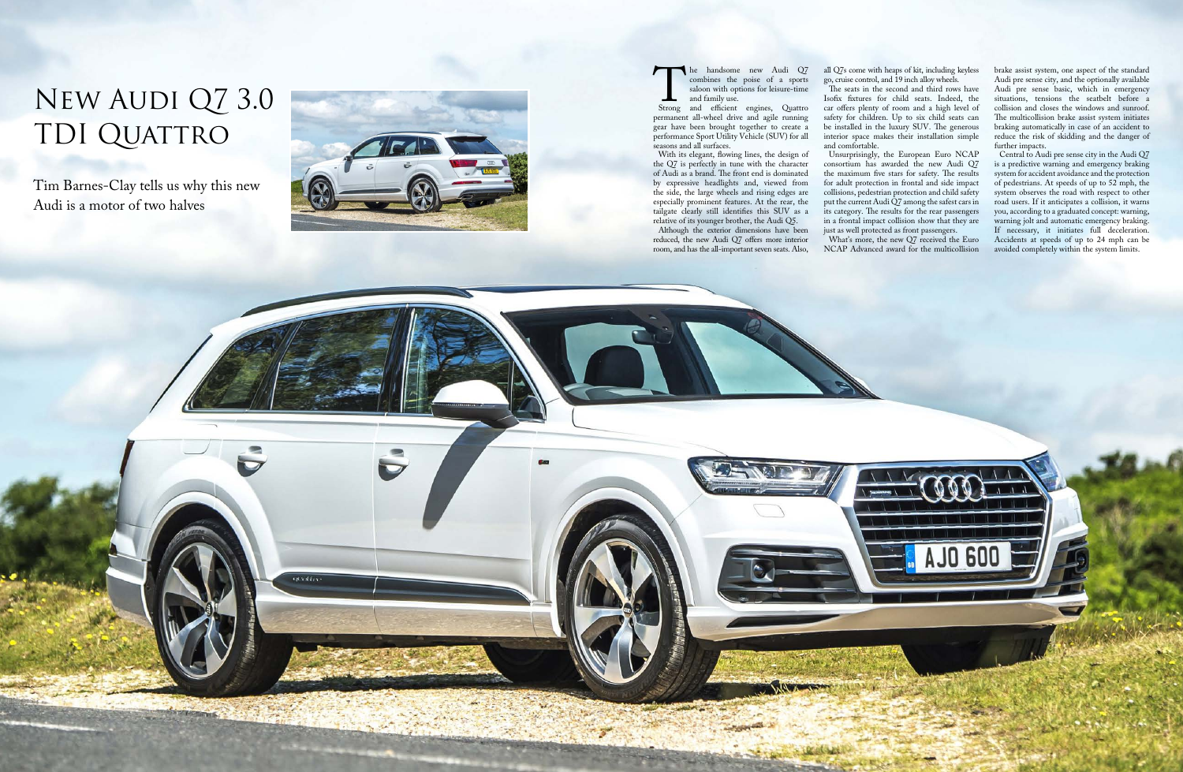The handsome new Audi Q7<br>
combines the poise of a sports<br>
saloon with options for leisure-time<br>
and family use.<br>
Strong and efficient engines, Quattro<br>
permanent all-wheel drive and agile running combines the poise of a sports saloon with options for leisure-time and family use.

permanent all-wheel drive and agile running gear have been brought together to create a performance Sport Utility Vehicle (SUV) for all seasons and all surfaces.

With its elegant, flowing lines, the design of the Q7 is perfectly in tune with the character of Audi as a brand. The front end is dominated by expressive headlights and, viewed from the side, the large wheels and rising edges are especially prominent features. At the rear, the tailgate clearly still identifies this SUV as a relative of its younger brother, the Audi Q5.

The seats in the second and third rows have Isofix fixtures for child seats. Indeed, the car offers plenty of room and a high level of safety for children. Up to six child seats can be installed in the luxury SUV. The generous interior space makes their installation simple and comfortable.

Although the exterior dimensions have been reduced, the new Audi Q7 offers more interior room, and has the all-important seven seats. Also,

opauties.

all Q7s come with heaps of kit, including keyless go, cruise control, and 19 inch alloy wheels.

## New Audi Q7 3.0 TDI QUATTRO

Unsurprisingly, the European Euro NCAP consortium has awarded the new Audi Q7 the maximum five stars for safety. The results<br>for adult protection in frontal and side impact for adult protection in frontal and side impact collisions, pedestrian protection and child safety put the current Audi Q7 among the safest cars in its category. The results for the rear passengers in a frontal impact collision show that they are just as well protected as front passengers.

What's more, the new Q7 received the Euro NCAP Advanced award for the multicollision

brake assist system, one aspect of the standard Audi pre sense city, and the optionally available Audi pre sense basic, which in emergency situations, tensions the seatbelt before a collision and closes the windows and sunroof. The multicollision brake assist system initiates braking automatically in case of an accident to reduce the risk of skidding and the danger of further impacts.

Central to Audi pre sense city in the Audi Q7 is a predictive warning and emergency braking system for accident avoidance and the protection of pedestrians. At speeds of up to 52 mph, the system observes the road with respect to other road users. If it anticipates a collision, it warns you, according to a graduated concept: warning, warning jolt and automatic emergency braking. If necessary, it initiates full deceleration. Accidents at speeds of up to 24 mph can be avoided completely within the system limits.



Tim Barnes-Clay tells us why this new Audi is a motor of two halves